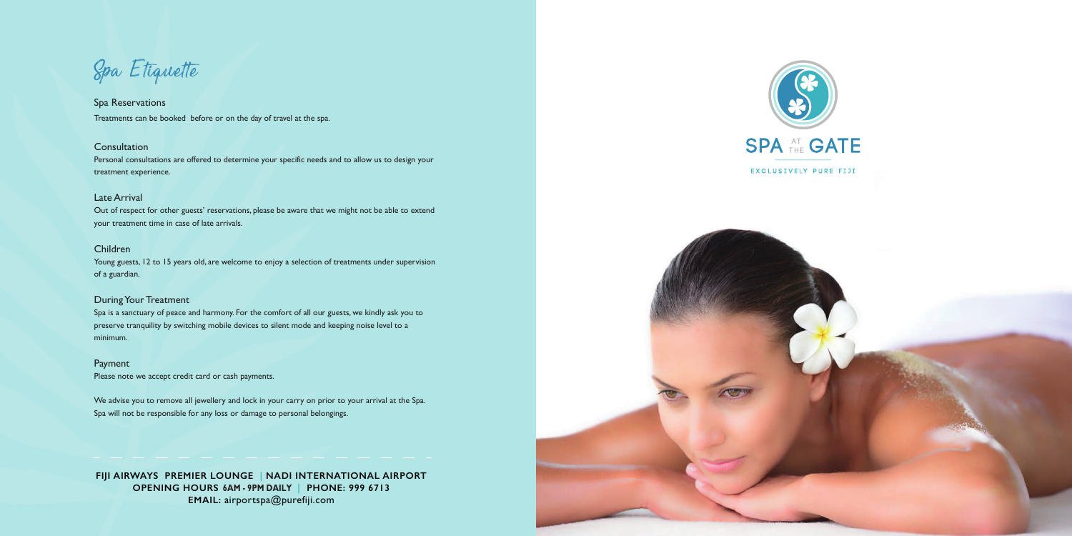**FIJI AIRWAYS PREMIER LOUNGE | NADI INTERNATIONAL AIRPORT OPENING HOURS 6AM - 9PM DAILY | PHONE: 999 6713 EMAIL:** airportspa@purefiji.com





Spa Etiquette

# Spa Reservations Treatments can be booked before or on the day of travel at the spa.

### **Consultation**

Personal consultations are offered to determine your specific needs and to allow us to design your treatment experience.

## Late Arrival

Out of respect for other guests' reservations, please be aware that we might not be able to extend your treatment time in case of late arrivals.

# Children

Young guests, 12 to 15 years old, are welcome to enjoy a selection of treatments under supervision of a guardian.

## During Your Treatment

Spa is a sanctuary of peace and harmony. For the comfort of all our guests, we kindly ask you to preserve tranquility by switching mobile devices to silent mode and keeping noise level to a minimum.

# Payment

Please note we accept credit card or cash payments.

We advise you to remove all jewellery and lock in your carry on prior to your arrival at the Spa. Spa will not be responsible for any loss or damage to personal belongings.